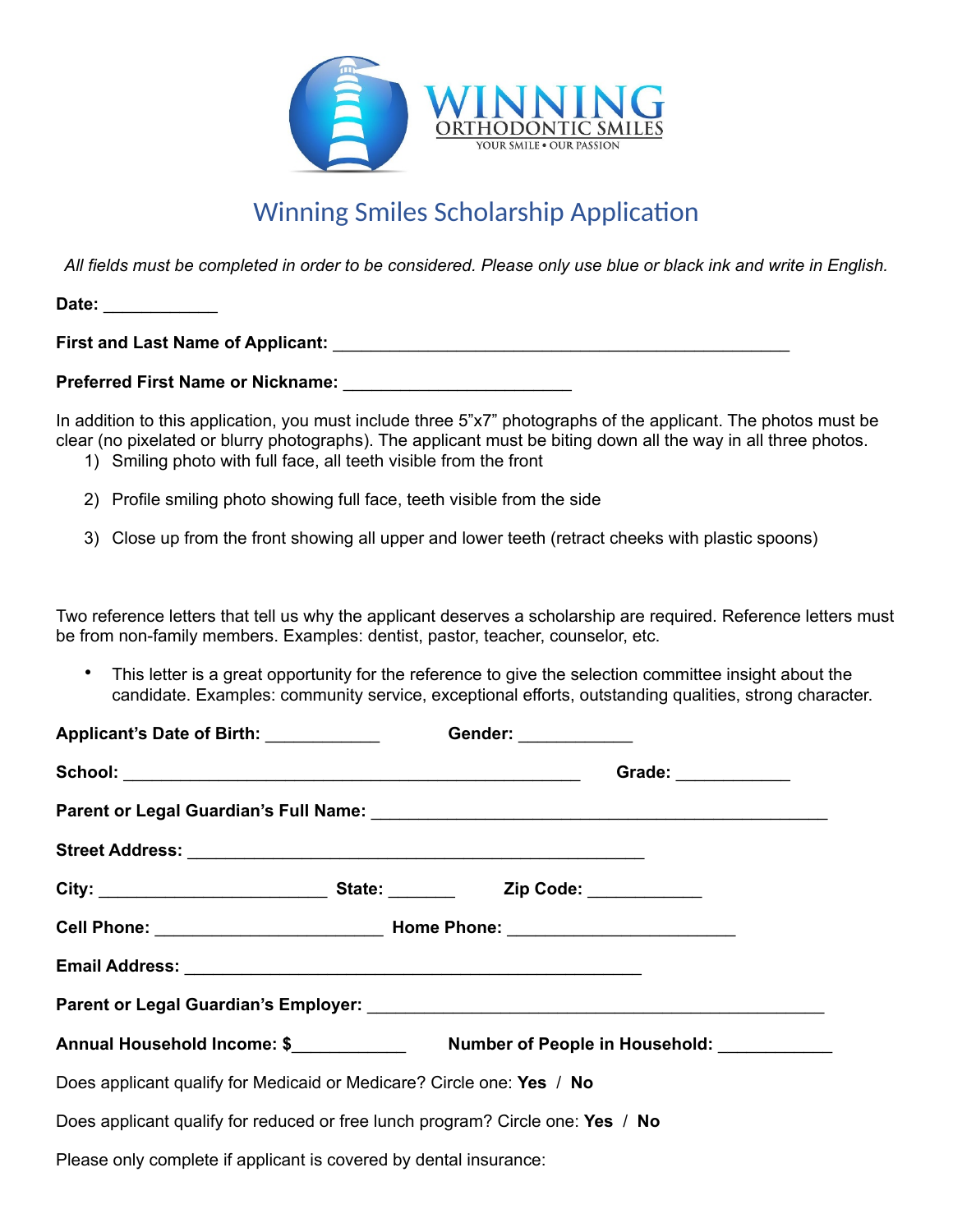

## Winning Smiles Scholarship Application

*All fields must be completed in order to be considered. Please only use blue or black ink and write in English.*

**Date:** \_\_\_\_\_\_\_\_\_\_\_\_

**First and Last Name of Applicant:** \_\_\_\_\_\_\_\_\_\_\_\_\_\_\_\_\_\_\_\_\_\_\_\_\_\_\_\_\_\_\_\_\_\_\_\_\_\_\_\_\_\_\_\_\_\_\_\_

**Preferred First Name or Nickname:** \_\_\_\_\_\_\_\_\_\_\_\_\_\_\_\_\_\_\_\_\_\_\_\_

In addition to this application, you must include three 5"x7" photographs of the applicant. The photos must be clear (no pixelated or blurry photographs). The applicant must be biting down all the way in all three photos.

- 1) Smiling photo with full face, all teeth visible from the front
- 2) Profile smiling photo showing full face, teeth visible from the side
- 3) Close up from the front showing all upper and lower teeth (retract cheeks with plastic spoons)

Two reference letters that tell us why the applicant deserves a scholarship are required. Reference letters must be from non-family members. Examples: dentist, pastor, teacher, counselor, etc.

• This letter is a great opportunity for the reference to give the selection committee insight about the candidate. Examples: community service, exceptional efforts, outstanding qualities, strong character.

| Applicant's Date of Birth: _____________                                       |                     | Gender: ____________                                       |  |
|--------------------------------------------------------------------------------|---------------------|------------------------------------------------------------|--|
|                                                                                | Grade: ____________ |                                                            |  |
|                                                                                |                     |                                                            |  |
|                                                                                |                     |                                                            |  |
|                                                                                |                     |                                                            |  |
|                                                                                |                     |                                                            |  |
|                                                                                |                     |                                                            |  |
|                                                                                |                     |                                                            |  |
|                                                                                |                     | Annual Household Income: \$ Number of People in Household: |  |
| Does applicant qualify for Medicaid or Medicare? Circle one: Yes / No          |                     |                                                            |  |
| Does applicant qualify for reduced or free lunch program? Circle one: Yes / No |                     |                                                            |  |
| Please only complete if applicant is covered by dental insurance:              |                     |                                                            |  |